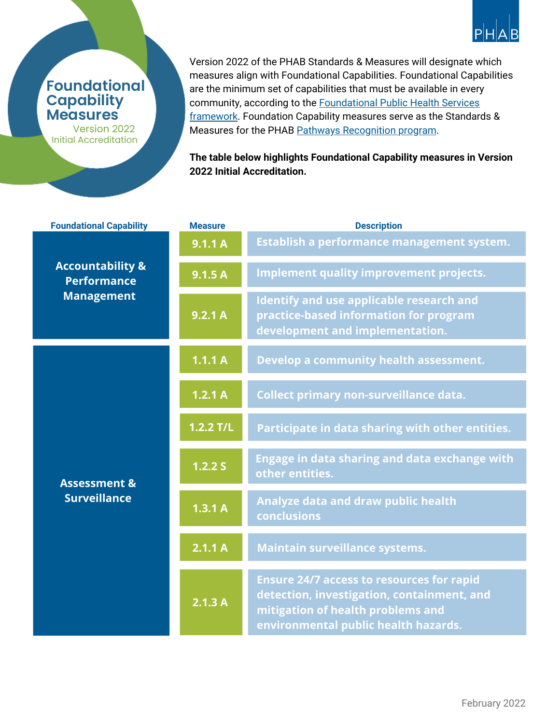

## **Foundational Capability Measures**

Version 2022 Initial Accreditation

Version 2022 of the PHAB [Standards](https://phaboard.org/version-2022/) & Measures will designate which measures align with Foundational Capabilities. Foundational Capabilities are the minimum set of capabilities that must be available in every community, according to the [Foundational](https://phnci.org/transformation/fphs) Public Health Services framework. Foundation Capability measures serve as the Standards & Measures for the PHAB Pathways [Recognition](https://phaboard.org/pathways/) program.

**The table below highlights Foundational Capability measures in Version 2022 Initial Accreditation.**

| <b>Foundational Capability</b>                                         | <b>Measure</b> | <b>Description</b>                                                                                                                                                          |
|------------------------------------------------------------------------|----------------|-----------------------------------------------------------------------------------------------------------------------------------------------------------------------------|
| <b>Accountability &amp;</b><br><b>Performance</b><br><b>Management</b> | 9.1.1A         | Establish a performance management system.                                                                                                                                  |
|                                                                        | 9.1.5A         | <b>Implement quality improvement projects.</b>                                                                                                                              |
|                                                                        | 9.2.1 A        | Identify and use applicable research and<br>practice-based information for program<br>development and implementation.                                                       |
| <b>Assessment &amp;</b><br><b>Surveillance</b>                         | 1.1.1A         | Develop a community health assessment.                                                                                                                                      |
|                                                                        | 1.2.1A         | Collect primary non-surveillance data.                                                                                                                                      |
|                                                                        | $1.2.2$ T/L    | Participate in data sharing with other entities.                                                                                                                            |
|                                                                        | 1.2.2 S        | Engage in data sharing and data exchange with<br>other entities.                                                                                                            |
|                                                                        | 1.3.1 A        | Analyze data and draw public health<br>conclusions                                                                                                                          |
|                                                                        | 2.1.1 A        | <b>Maintain surveillance systems.</b>                                                                                                                                       |
|                                                                        | 2.1.3 A        | <b>Ensure 24/7 access to resources for rapid</b><br>detection, investigation, containment, and<br>mitigation of health problems and<br>environmental public health hazards. |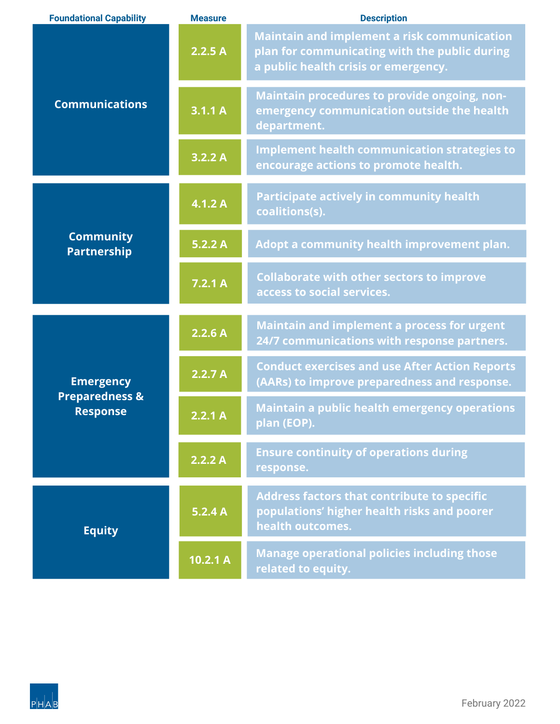| <b>Foundational Capability</b>                                   | <b>Measure</b> | <b>Description</b>                                                                                                                          |
|------------------------------------------------------------------|----------------|---------------------------------------------------------------------------------------------------------------------------------------------|
| <b>Communications</b>                                            | 2.2.5A         | <b>Maintain and implement a risk communication</b><br>plan for communicating with the public during<br>a public health crisis or emergency. |
|                                                                  | 3.1.1 A        | Maintain procedures to provide ongoing, non-<br>emergency communication outside the health<br>department.                                   |
|                                                                  | 3.2.2 A        | <b>Implement health communication strategies to</b><br>encourage actions to promote health.                                                 |
| <b>Community</b><br><b>Partnership</b>                           | 4.1.2A         | <b>Participate actively in community health</b><br>coalitions(s).                                                                           |
|                                                                  | 5.2.2 A        | Adopt a community health improvement plan.                                                                                                  |
|                                                                  | 7.2.1A         | <b>Collaborate with other sectors to improve</b><br>access to social services.                                                              |
| <b>Emergency</b><br><b>Preparedness &amp;</b><br><b>Response</b> | 2.2.6A         | <b>Maintain and implement a process for urgent</b><br>24/7 communications with response partners.                                           |
|                                                                  | 2.2.7A         | <b>Conduct exercises and use After Action Reports</b><br>(AARs) to improve preparedness and response.                                       |
|                                                                  | 2.2.1 A        | <b>Maintain a public health emergency operations</b><br>plan (EOP).                                                                         |
|                                                                  | 2.2.2 A        | <b>Ensure continuity of operations during</b><br>response.                                                                                  |
| <b>Equity</b>                                                    | 5.2.4A         | <b>Address factors that contribute to specific</b><br>populations' higher health risks and poorer<br>health outcomes.                       |
|                                                                  | 10.2.1 A       | <b>Manage operational policies including those</b><br>related to equity.                                                                    |